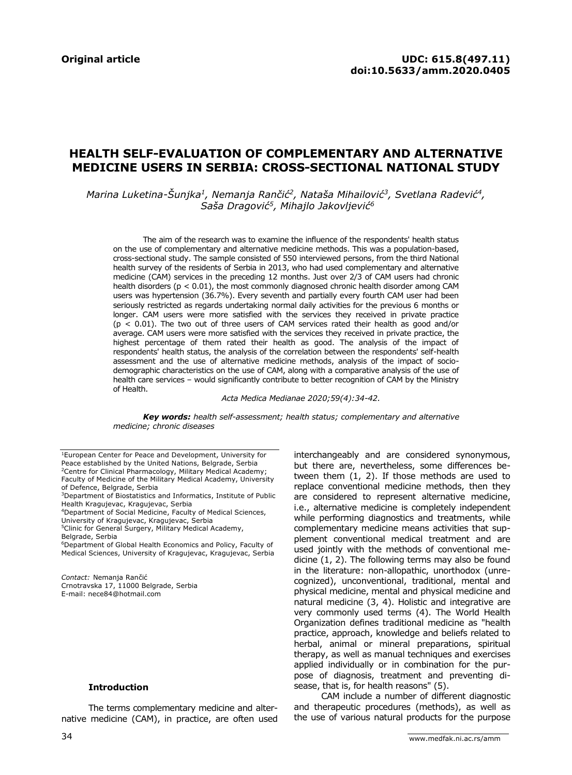# **HEALTH SELF-EVALUATION OF COMPLEMENTARY AND ALTERNATIVE MEDICINE USERS IN SERBIA: CROSS-SECTIONAL NATIONAL STUDY**

*Marina Luketina-Šunjka<sup>1</sup> , Nemanja Rančić<sup>2</sup> , Nataša Mihailović<sup>3</sup> , Svetlana Radević<sup>4</sup> , Saša Dragović<sup>5</sup> , Mihajlo Jakovljević<sup>6</sup>*

The aim of the research was to examine the influence of the respondents' health status on the use of complementary and alternative medicine methods. This was a population-based, cross-sectional study. The sample consisted of 550 interviewed persons, from the third National health survey of the residents of Serbia in 2013, who had used complementary and alternative medicine (CAM) services in the preceding 12 months. Just over 2/3 of CAM users had chronic health disorders ( $p < 0.01$ ), the most commonly diagnosed chronic health disorder among CAM users was hypertension (36.7%). Every seventh and partially every fourth CAM user had been seriously restricted as regards undertaking normal daily activities for the previous 6 months or longer. CAM users were more satisfied with the services they received in private practice  $(p < 0.01)$ . The two out of three users of CAM services rated their health as good and/or average. CAM users were more satisfied with the services they received in private practice, the highest percentage of them rated their health as good. The analysis of the impact of respondents' health status, the analysis of the correlation between the respondents' self-health assessment and the use of alternative medicine methods, analysis of the impact of sociodemographic characteristics on the use of CAM, along with a comparative analysis of the use of health care services – would significantly contribute to better recognition of CAM by the Ministry of Health.

*Acta Medica Medianae 2020;59(4):34-42.*

*Key words: health self-assessment; health status; complementary and alternative medicine; chronic diseases*

<sup>5</sup>Clinic for General Surgery, Military Medical Academy, Belgrade, Serbia

*Contact:* Nemanja Rančić Crnotravska 17, 11000 Belgrade, Serbia E-mail: nece84@hotmail.com

#### **Introduction**

The terms complementary medicine and alternative medicine (CAM), in practice, are often used interchangeably and are considered synonymous, but there are, nevertheless, some differences between them (1, 2). If those methods are used to replace conventional medicine methods, then they are considered to represent alternative medicine, i.e., alternative medicine is completely independent while performing diagnostics and treatments, while complementary medicine means activities that supplement conventional medical treatment and are used jointly with the methods of conventional medicine (1, 2). The following terms may also be found in the literature: non-allopathic, unorthodox (unrecognized), unconventional, traditional, mental and physical medicine, mental and physical medicine and natural medicine (3, 4). Holistic and integrative are very commonly used terms (4). The World Health Organization defines traditional medicine as "health practice, approach, knowledge and beliefs related to herbal, animal or mineral preparations, spiritual therapy, as well as manual techniques and exercises applied individually or in combination for the purpose of diagnosis, treatment and preventing disease, that is, for health reasons" (5).

CAM include a number of different diagnostic and therapeutic procedures (methods), as well as the use of various natural products for the purpose

<sup>1</sup>European Center for Peace and Development, University for Peace established by the United Nations, Belgrade, Serbia <sup>2</sup>Centre for Clinical Pharmacology, Military Medical Academy; Faculty of Medicine of the Military Medical Academy, University of Defence, Belgrade, Serbia

<sup>3</sup>Department of Biostatistics and Informatics, Institute of Public Health Kragujevac, Kragujevac, Serbia

<sup>4</sup>Department of Social Medicine, Faculty of Medical Sciences, University of Kragujevac, Kragujevac, Serbia

<sup>6</sup>Department of Global Health Economics and Policy, Faculty of Medical Sciences, University of Kragujevac, Kragujevac, Serbia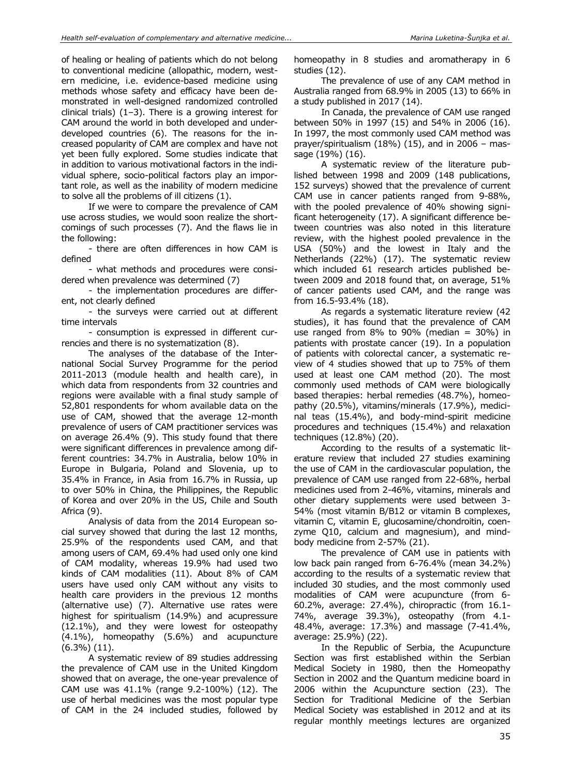of healing or healing of patients which do not belong to conventional medicine (allopathic, modern, western medicine, i.e. evidence-based medicine using methods whose safety and efficacy have been demonstrated in well-designed randomized controlled clinical trials) (1–3). There is a growing interest for CAM around the world in both developed and underdeveloped countries (6). The reasons for the increased popularity of CAM are complex and have not yet been fully explored. Some studies indicate that in addition to various motivational factors in the individual sphere, socio-political factors play an important role, as well as the inability of modern medicine to solve all the problems of ill citizens (1).

If we were to compare the prevalence of CAM use across studies, we would soon realize the shortcomings of such processes (7). And the flaws lie in the following:

- there are often differences in how CAM is defined

- what methods and procedures were considered when prevalence was determined (7)

- the implementation procedures are different, not clearly defined

- the surveys were carried out at different time intervals

- consumption is expressed in different currencies and there is no systematization (8).

The analyses of the database of the International Social Survey Programme for the period 2011-2013 (module health and health care), in which data from respondents from 32 countries and regions were available with a final study sample of 52,801 respondents for whom available data on the use of CAM, showed that the average 12-month prevalence of users of CAM practitioner services was on average 26.4% (9). This study found that there were significant differences in prevalence among different countries: 34.7% in Australia, below 10% in Europe in Bulgaria, Poland and Slovenia, up to 35.4% in France, in Asia from 16.7% in Russia, up to over 50% in China, the Philippines, the Republic of Korea and over 20% in the US, Chile and South Africa (9).

Analysis of data from the 2014 European social survey showed that during the last 12 months, 25.9% of the respondents used CAM, and that among users of CAM, 69.4% had used only one kind of CAM modality, whereas 19.9% had used two kinds of CAM modalities (11). About 8% of CAM users have used only CAM without any visits to health care providers in the previous 12 months (alternative use) (7). Alternative use rates were highest for spiritualism (14.9%) and acupressure (12.1%), and they were lowest for osteopathy (4.1%), homeopathy (5.6%) and acupuncture (6.3%) (11).

A systematic review of 89 studies addressing the prevalence of CAM use in the United Kingdom showed that on average, the one-year prevalence of CAM use was 41.1% (range 9.2-100%) (12). The use of herbal medicines was the most popular type of CAM in the 24 included studies, followed by homeopathy in 8 studies and aromatherapy in 6 studies (12).

The prevalence of use of any CAM method in Australia ranged from 68.9% in 2005 (13) to 66% in a study published in 2017 (14).

In Canada, the prevalence of CAM use ranged between 50% in 1997 (15) and 54% in 2006 (16). In 1997, the most commonly used CAM method was prayer/spiritualism (18%) (15), and in 2006 – massage (19%) (16).

A systematic review of the literature published between 1998 and 2009 (148 publications, 152 surveys) showed that the prevalence of current CAM use in cancer patients ranged from 9-88%, with the pooled prevalence of 40% showing significant heterogeneity (17). A significant difference between countries was also noted in this literature review, with the highest pooled prevalence in the USA (50%) and the lowest in Italy and the Netherlands (22%) (17). The systematic review which included 61 research articles published between 2009 and 2018 found that, on average, 51% of cancer patients used CAM, and the range was from 16.5-93.4% (18).

As regards a systematic literature review (42 studies), it has found that the prevalence of CAM use ranged from  $8\%$  to  $90\%$  (median =  $30\%$ ) in patients with prostate cancer (19). In a population of patients with colorectal cancer, a systematic review of 4 studies showed that up to 75% of them used at least one CAM method (20). The most commonly used methods of CAM were biologically based therapies: herbal remedies (48.7%), homeopathy (20.5%), vitamins/minerals (17.9%), medicinal teas (15.4%), and body-mind-spirit medicine procedures and techniques (15.4%) and relaxation techniques (12.8%) (20).

According to the results of a systematic literature review that included 27 studies examining the use of CAM in the cardiovascular population, the prevalence of CAM use ranged from 22-68%, herbal medicines used from 2-46%, vitamins, minerals and other dietary supplements were used between 3- 54% (most vitamin B/B12 or vitamin B complexes, vitamin C, vitamin E, glucosamine/chondroitin, coenzyme Q10, calcium and magnesium), and mindbody medicine from 2-57% (21).

The prevalence of CAM use in patients with low back pain ranged from 6-76.4% (mean 34.2%) according to the results of a systematic review that included 30 studies, and the most commonly used modalities of CAM were acupuncture (from 6- 60.2%, average: 27.4%), chiropractic (from 16.1- 74%, average 39.3%), osteopathy (from 4.1- 48.4%, average: 17.3%) and massage (7-41.4%, average: 25.9%) (22).

In the Republic of Serbia, the Acupuncture Section was first established within the Serbian Medical Society in 1980, then the Homeopathy Section in 2002 and the Quantum medicine board in 2006 within the Acupuncture section (23). The Section for Traditional Medicine of the Serbian Medical Society was established in 2012 and at its regular monthly meetings lectures are organized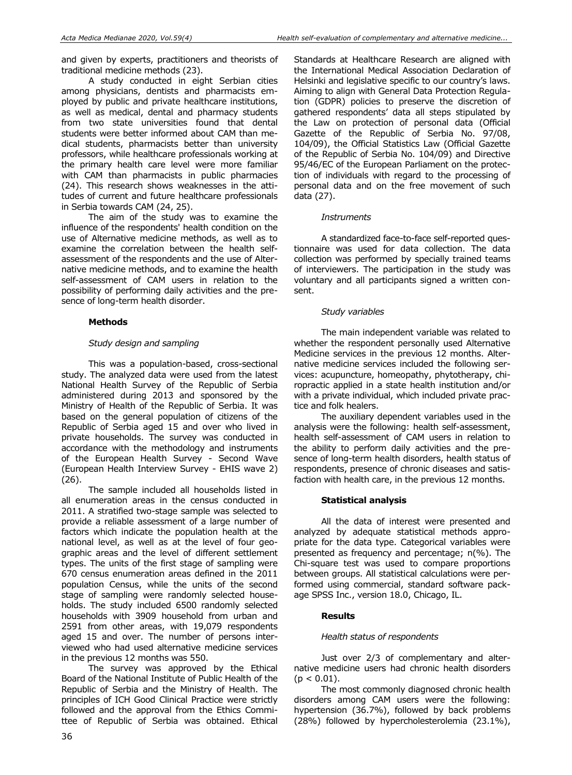A study conducted in eight Serbian cities among physicians, dentists and pharmacists employed by public and private healthcare institutions, as well as medical, dental and pharmacy students from two state universities found that dental students were better informed about CAM than medical students, pharmacists better than university professors, while healthcare professionals working at the primary health care level were more familiar with CAM than pharmacists in public pharmacies (24). This research shows weaknesses in the attitudes of current and future healthcare professionals in Serbia towards CAM (24, 25).

The aim of the study was to examine the influence of the respondents' health condition on the use of Alternative medicine methods, as well as to examine the correlation between the health selfassessment of the respondents and the use of Alternative medicine methods, and to examine the health self-assessment of CAM users in relation to the possibility of performing daily activities and the presence of long-term health disorder.

# **Methods**

# *Study design and sampling*

This was a population-based, cross-sectional study. The analyzed data were used from the latest National Health Survey of the Republic of Serbia administered during 2013 and sponsored by the Ministry of Health of the Republic of Serbia. It was based on the general population of citizens of the Republic of Serbia aged 15 and over who lived in private households. The survey was conducted in accordance with the methodology and instruments of the European Health Survey - Second Wave (European Health Interview Survey - EHIS wave 2) (26).

The sample included all households listed in all enumeration areas in the census conducted in 2011. A stratified two-stage sample was selected to provide a reliable assessment of a large number of factors which indicate the population health at the national level, as well as at the level of four geographic areas and the level of different settlement types. The units of the first stage of sampling were 670 census enumeration areas defined in the 2011 population Census, while the units of the second stage of sampling were randomly selected households. The study included 6500 randomly selected households with 3909 household from urban and 2591 from other areas, with 19,079 respondents aged 15 and over. The number of persons interviewed who had used alternative medicine services in the previous 12 months was 550.

The survey was approved by the Ethical Board of the National Institute of Public Health of the Republic of Serbia and the Ministry of Health. The principles of ICH Good Clinical Practice were strictly followed and the approval from the Ethics Committee of Republic of Serbia was obtained. Ethical Standards at Healthcare Research are aligned with the International Medical Association Declaration of Helsinki and legislative specific to our country's laws. Aiming to align with General Data Protection Regulation (GDPR) policies to preserve the discretion of gathered respondents' data all steps stipulated by the Law on protection of personal data (Official Gazette of the Republic of Serbia No. 97/08, 104/09), the Official Statistics Law (Official Gazette of the Republic of Serbia No. 104/09) and Directive 95/46/EC of the European Parliament on the protection of individuals with regard to the processing of personal data and on the free movement of such data (27).

### *Instruments*

A standardized face-to-face self-reported questionnaire was used for data collection. The data collection was performed by specially trained teams of interviewers. The participation in the study was voluntary and all participants signed a written consent.

## *Study variables*

The main independent variable was related to whether the respondent personally used Alternative Medicine services in the previous 12 months. Alternative medicine services included the following services: acupuncture, homeopathy, phytotherapy, chiropractic applied in a state health institution and/or with a private individual, which included private practice and folk healers.

The auxiliary dependent variables used in the analysis were the following: health self-assessment, health self-assessment of CAM users in relation to the ability to perform daily activities and the presence of long-term health disorders, health status of respondents, presence of chronic diseases and satisfaction with health care, in the previous 12 months.

# **Statistical analysis**

All the data of interest were presented and analyzed by adequate statistical methods appropriate for the data type. Categorical variables were presented as frequency and percentage; n(%). The Chi-square test was used to compare proportions between groups. All statistical calculations were performed using commercial, standard software package SPSS Inc., version 18.0, Chicago, IL.

### **Results**

### *Health status of respondents*

Just over 2/3 of complementary and alternative medicine users had chronic health disorders  $(p < 0.01)$ .

The most commonly diagnosed chronic health disorders among CAM users were the following: hypertension (36.7%), followed by back problems (28%) followed by hypercholesterolemia (23.1%),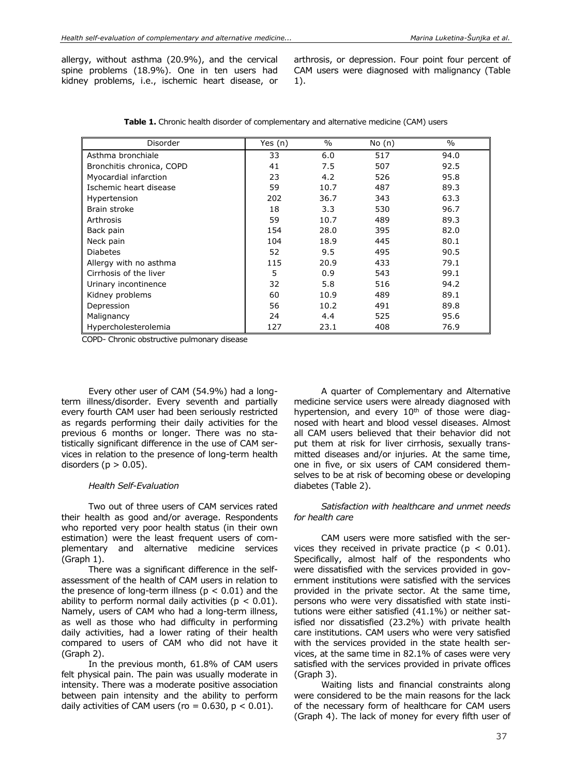allergy, without asthma (20.9%), and the cervical spine problems (18.9%). One in ten users had kidney problems, i.e., ischemic heart disease, or arthrosis, or depression. Four point four percent of CAM users were diagnosed with malignancy (Table 1).

| Disorder                  | Yes $(n)$ | $\%$ | No(n) | $\%$ |
|---------------------------|-----------|------|-------|------|
| Asthma bronchiale         | 33        | 6.0  | 517   | 94.0 |
| Bronchitis chronica, COPD | 41        | 7.5  | 507   | 92.5 |
| Myocardial infarction     | 23        | 4.2  | 526   | 95.8 |
| Ischemic heart disease    | 59        | 10.7 | 487   | 89.3 |
| Hypertension              | 202       | 36.7 | 343   | 63.3 |
| Brain stroke              | 18        | 3.3  | 530   | 96.7 |
| Arthrosis                 | 59        | 10.7 | 489   | 89.3 |
| Back pain                 | 154       | 28.0 | 395   | 82.0 |
| Neck pain                 | 104       | 18.9 | 445   | 80.1 |
| <b>Diabetes</b>           | 52        | 9.5  | 495   | 90.5 |
| Allergy with no asthma    | 115       | 20.9 | 433   | 79.1 |
| Cirrhosis of the liver    | 5         | 0.9  | 543   | 99.1 |
| Urinary incontinence      | 32        | 5.8  | 516   | 94.2 |
| Kidney problems           | 60        | 10.9 | 489   | 89.1 |
| Depression                | 56        | 10.2 | 491   | 89.8 |
| Malignancy                | 24        | 4.4  | 525   | 95.6 |
| Hypercholesterolemia      | 127       | 23.1 | 408   | 76.9 |

| <b>Table 1.</b> Chronic health disorder of complementary and alternative medicine (CAM) users |  |  |  |
|-----------------------------------------------------------------------------------------------|--|--|--|
|-----------------------------------------------------------------------------------------------|--|--|--|

COPD- Chronic obstructive pulmonary disease

Every other user of CAM (54.9%) had a longterm illness/disorder. Every seventh and partially every fourth CAM user had been seriously restricted as regards performing their daily activities for the previous 6 months or longer. There was no statistically significant difference in the use of CAM services in relation to the presence of long-term health disorders ( $p > 0.05$ ).

#### *Health Self-Evaluation*

Two out of three users of CAM services rated their health as good and/or average. Respondents who reported very poor health status (in their own estimation) were the least frequent users of complementary and alternative medicine services (Graph 1).

There was a significant difference in the selfassessment of the health of CAM users in relation to the presence of long-term illness ( $p < 0.01$ ) and the ability to perform normal daily activities ( $p < 0.01$ ). Namely, users of CAM who had a long-term illness, as well as those who had difficulty in performing daily activities, had a lower rating of their health compared to users of CAM who did not have it (Graph 2).

In the previous month, 61.8% of CAM users felt physical pain. The pain was usually moderate in intensity. There was a moderate positive association between pain intensity and the ability to perform daily activities of CAM users (ro =  $0.630$ ,  $p < 0.01$ ).

A quarter of Complementary and Alternative medicine service users were already diagnosed with hypertension, and every  $10<sup>th</sup>$  of those were diagnosed with heart and blood vessel diseases. Almost all CAM users believed that their behavior did not put them at risk for liver cirrhosis, sexually transmitted diseases and/or injuries. At the same time, one in five, or six users of CAM considered themselves to be at risk of becoming obese or developing diabetes (Table 2).

#### *Satisfaction with healthcare and unmet needs for health care*

CAM users were more satisfied with the services they received in private practice ( $p < 0.01$ ). Specifically, almost half of the respondents who were dissatisfied with the services provided in government institutions were satisfied with the services provided in the private sector. At the same time, persons who were very dissatisfied with state institutions were either satisfied (41.1%) or neither satisfied nor dissatisfied (23.2%) with private health care institutions. CAM users who were very satisfied with the services provided in the state health services, at the same time in 82.1% of cases were very satisfied with the services provided in private offices (Graph 3).

Waiting lists and financial constraints along were considered to be the main reasons for the lack of the necessary form of healthcare for CAM users (Graph 4). The lack of money for every fifth user of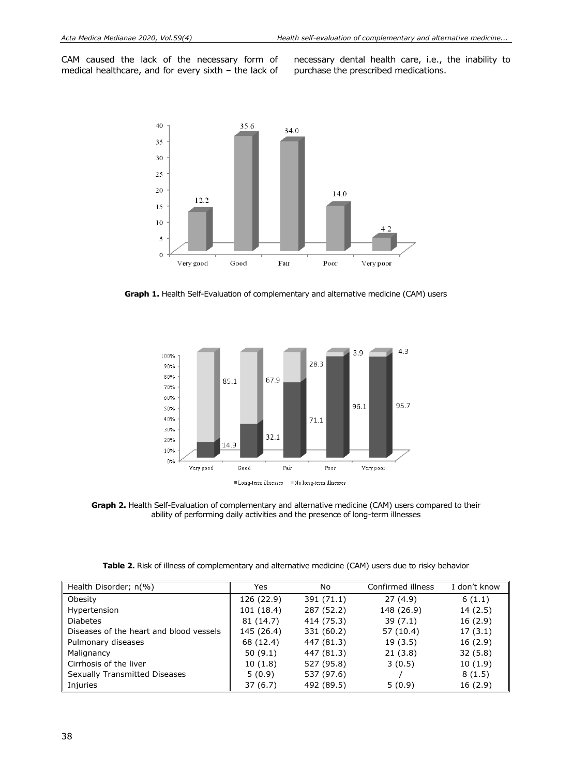CAM caused the lack of the necessary form of medical healthcare, and for every sixth – the lack of necessary dental health care, i.e., the inability to purchase the prescribed medications.



**Graph 1.** Health Self-Evaluation of complementary and alternative medicine (CAM) users



**Graph 2.** Health Self-Evaluation of complementary and alternative medicine (CAM) users compared to their ability of performing daily activities and the presence of long-term illnesses

| Table 2. Risk of illness of complementary and alternative medicine (CAM) users due to risky behavior |  |  |
|------------------------------------------------------------------------------------------------------|--|--|
|------------------------------------------------------------------------------------------------------|--|--|

| Health Disorder; n(%)                   | Yes        | No         | Confirmed illness | I don't know |
|-----------------------------------------|------------|------------|-------------------|--------------|
| Obesity                                 | 126 (22.9) | 391 (71.1) | 27(4.9)           | 6(1.1)       |
| Hypertension                            | 101 (18.4) | 287 (52.2) | 148 (26.9)        | 14(2.5)      |
| <b>Diabetes</b>                         | 81 (14.7)  | 414 (75.3) | 39(7.1)           | 16(2.9)      |
| Diseases of the heart and blood vessels | 145 (26.4) | 331 (60.2) | 57 (10.4)         | 17(3.1)      |
| Pulmonary diseases                      | 68 (12.4)  | 447 (81.3) | 19(3.5)           | 16(2.9)      |
| Malignancy                              | 50(9.1)    | 447 (81.3) | 21(3.8)           | 32(5.8)      |
| Cirrhosis of the liver                  | 10(1.8)    | 527 (95.8) | 3(0.5)            | 10(1.9)      |
| Sexually Transmitted Diseases           | 5(0.9)     | 537 (97.6) |                   | 8(1.5)       |
| Injuries                                | 37(6.7)    | 492 (89.5) | 5(0.9)            | 16(2.9)      |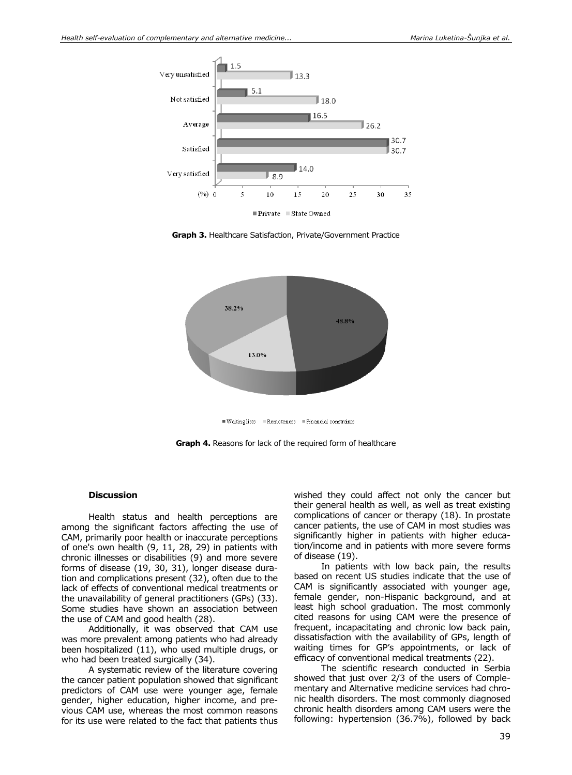

**Graph 3.** Healthcare Satisfaction, Private/Government Practice



Waitinglists Remoteness Financial constraints

**Graph 4.** Reasons for lack of the required form of healthcare

#### **Discussion**

Health status and health perceptions are among the significant factors affecting the use of CAM, primarily poor health or inaccurate perceptions of one's own health (9, 11, 28, 29) in patients with chronic illnesses or disabilities (9) and more severe forms of disease (19, 30, 31), longer disease duration and complications present (32), often due to the lack of effects of conventional medical treatments or the unavailability of general practitioners (GPs) (33). Some studies have shown an association between the use of CAM and good health (28).

Additionally, it was observed that CAM use was more prevalent among patients who had already been hospitalized (11), who used multiple drugs, or who had been treated surgically (34).

A systematic review of the literature covering the cancer patient population showed that significant predictors of CAM use were younger age, female gender, higher education, higher income, and previous CAM use, whereas the most common reasons for its use were related to the fact that patients thus

wished they could affect not only the cancer but their general health as well, as well as treat existing complications of cancer or therapy (18). In prostate cancer patients, the use of CAM in most studies was significantly higher in patients with higher education/income and in patients with more severe forms of disease (19).

In patients with low back pain, the results based on recent US studies indicate that the use of CAM is significantly associated with younger age, female gender, non-Hispanic background, and at least high school graduation. The most commonly cited reasons for using CAM were the presence of frequent, incapacitating and chronic low back pain, dissatisfaction with the availability of GPs, length of waiting times for GP's appointments, or lack of efficacy of conventional medical treatments (22).

The scientific research conducted in Serbia showed that just over 2/3 of the users of Complementary and Alternative medicine services had chronic health disorders. The most commonly diagnosed chronic health disorders among CAM users were the following: hypertension (36.7%), followed by back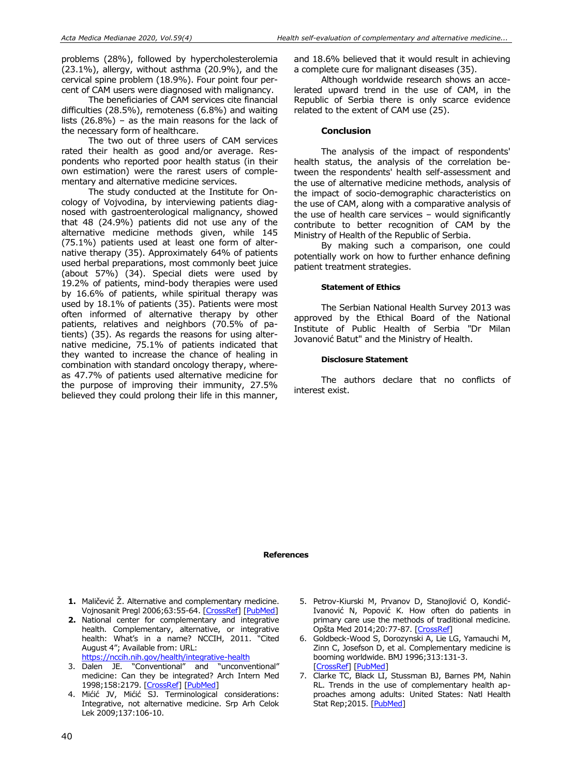problems (28%), followed by hypercholesterolemia (23.1%), allergy, without asthma (20.9%), and the cervical spine problem (18.9%). Four point four percent of CAM users were diagnosed with malignancy.

The beneficiaries of CAM services cite financial difficulties (28.5%), remoteness (6.8%) and waiting lists (26.8%) – as the main reasons for the lack of the necessary form of healthcare.

The two out of three users of CAM services rated their health as good and/or average. Respondents who reported poor health status (in their own estimation) were the rarest users of complementary and alternative medicine services.

The study conducted at the Institute for Oncology of Vojvodina, by interviewing patients diagnosed with gastroenterological malignancy, showed that 48 (24.9%) patients did not use any of the alternative medicine methods given, while 145 (75.1%) patients used at least one form of alternative therapy (35). Approximately 64% of patients used herbal preparations, most commonly beet juice (about 57%) (34). Special diets were used by 19.2% of patients, mind-body therapies were used by 16.6% of patients, while spiritual therapy was used by 18.1% of patients (35). Patients were most often informed of alternative therapy by other patients, relatives and neighbors (70.5% of patients) (35). As regards the reasons for using alternative medicine, 75.1% of patients indicated that they wanted to increase the chance of healing in combination with standard oncology therapy, whereas 47.7% of patients used alternative medicine for the purpose of improving their immunity, 27.5% believed they could prolong their life in this manner, and 18.6% believed that it would result in achieving a complete cure for malignant diseases (35).

Although worldwide research shows an accelerated upward trend in the use of CAM, in the Republic of Serbia there is only scarce evidence related to the extent of CAM use (25).

#### **Conclusion**

The analysis of the impact of respondents' health status, the analysis of the correlation between the respondents' health self-assessment and the use of alternative medicine methods, analysis of the impact of socio-demographic characteristics on the use of CAM, along with a comparative analysis of the use of health care services – would significantly contribute to better recognition of CAM by the Ministry of Health of the Republic of Serbia.

By making such a comparison, one could potentially work on how to further enhance defining patient treatment strategies.

#### **Statement of Ethics**

The Serbian National Health Survey 2013 was approved by the Ethical Board of the National Institute of Public Health of Serbia "Dr Milan Jovanović Batut" and the Ministry of Health.

#### **Disclosure Statement**

The authors declare that no conflicts of interest exist.

#### **References**

- **1.** Maličević Ž. Alternative and complementary medicine. Vojnosanit Pregl 2006;63:55-64. [\[CrossRef\]](https://doi.org/10.2298/VSP0601055M) [\[PubMed\]](https://pubmed.ncbi.nlm.nih.gov/16471250/)
- **2.** National center for complementary and integrative health. Complementary, alternative, or integrative health: What's in a name? NCCIH, 2011. "Cited August 4"; Available from: URL: <https://nccih.nih.gov/health/integrative-health>
- 3. Dalen JE. "Conventional" and "unconventional" medicine: Can they be integrated? Arch Intern Med 1998;158:2179. [\[CrossRef\]](https://doi.org/10.1001/archinte.158.20.2179) [\[PubMed\]](https://pubmed.ncbi.nlm.nih.gov/9818795/)
- 4. Mićić JV, Mićić SJ. Terminological considerations: Integrative, not alternative medicine. Srp Arh Celok Lek 2009;137:106-10.
- 5. Petrov-Kiurski M, Prvanov D, Stanojlović O, Kondić-Ivanović N, Popović K. How often do patients in primary care use the methods of traditional medicine. Opšta Med 2014;20:77-87. [\[CrossRef\]](https://doi.org/10.5937/opmed1404077P)
- 6. Goldbeck-Wood S, Dorozynski A, Lie LG, Yamauchi M, Zinn C, Josefson D, et al. Complementary medicine is booming worldwide. BMJ 1996;313:131-3. [\[CrossRef\]](https://doi.org/10.1136/bmj.313.7050.131a) [\[PubMed\]](https://pubmed.ncbi.nlm.nih.gov/8688771/)
- 7. Clarke TC, Black LI, Stussman BJ, Barnes PM, Nahin RL. Trends in the use of complementary health approaches among adults: United States: Natl Health Stat Rep; 2015. [\[PubMed\]](https://pubmed.ncbi.nlm.nih.gov/25671660/)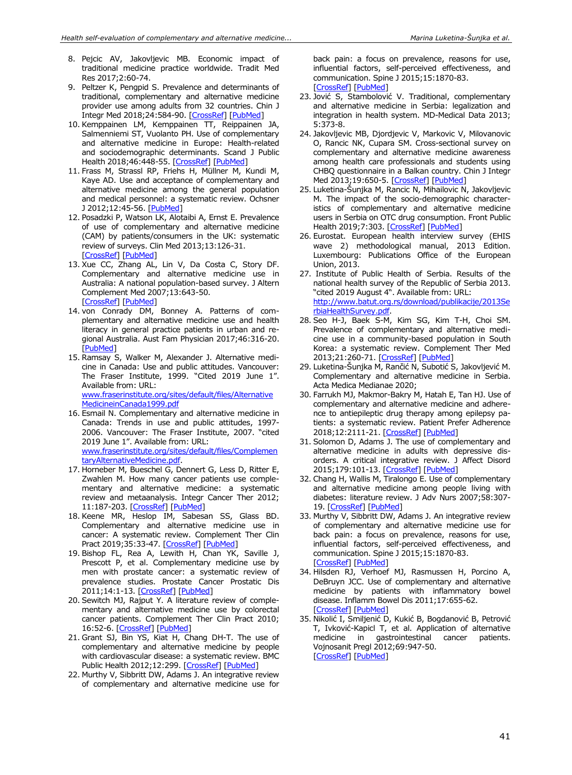- 8. Pejcic AV, Jakovljevic MB. Economic impact of traditional medicine practice worldwide. Tradit Med Res 2017;2:60-74.
- 9. Peltzer K, Pengpid S. Prevalence and determinants of traditional, complementary and alternative medicine provider use among adults from 32 countries. Chin J Integr Med 2018;24:584-90. [\[CrossRef\]](https://doi.org/10.1007/s11655-016-2748-y) [\[PubMed\]](https://pubmed.ncbi.nlm.nih.gov/28028721/)
- 10. Kemppainen LM, Kemppainen TT, Reippainen JA, Salmenniemi ST, Vuolanto PH. Use of complementary and alternative medicine in Europe: Health-related and sociodemographic determinants. Scand J Public Health 2018;46:448-55. [\[CrossRef\]](https://doi.org/10.1177/1403494817733869) [\[PubMed\]](https://pubmed.ncbi.nlm.nih.gov/28975853/)
- 11. Frass M, Strassl RP, Friehs H, Müllner M, Kundi M, Kaye AD. Use and acceptance of complementary and alternative medicine among the general population and medical personnel: a systematic review. Ochsner J 2012;12:45-56. [\[PubMed\]](https://pubmed.ncbi.nlm.nih.gov/22438782/)
- 12. Posadzki P, Watson LK, Alotaibi A, Ernst E. Prevalence of use of complementary and alternative medicine (CAM) by patients/consumers in the UK: systematic review of surveys. Clin Med 2013;13:126-31. [\[CrossRef\]](https://doi.org/10.7861/clinmedicine.13-2-126) [\[PubMed\]](https://pubmed.ncbi.nlm.nih.gov/23681857/)
- 13. Xue CC, Zhang AL, Lin V, Da Costa C, Story DF. Complementary and alternative medicine use in Australia: A national population-based survey. J Altern Complement Med 2007;13:643-50. [\[CrossRef\]](https://doi.org/10.1089/acm.2006.6355) [\[PubMed\]](https://pubmed.ncbi.nlm.nih.gov/17718647/)
- 14. von Conrady DM, Bonney A. Patterns of complementary and alternative medicine use and health literacy in general practice patients in urban and regional Australia. Aust Fam Physician 2017;46:316-20. [\[PubMed\]](https://pubmed.ncbi.nlm.nih.gov/28472578/)
- 15. Ramsay S, Walker M, Alexander J. Alternative medicine in Canada: Use and public attitudes. Vancouver: The Fraser Institute, 1999. "Cited 2019 June 1". Available from: URL: [www.fraserinstitute.org/sites/default/files/Alternative](http://www.fraserinstitute.org/sites/default/files/AlternativeMedicineinCanada1999.pdf) [MedicineinCanada1999.pdf](http://www.fraserinstitute.org/sites/default/files/AlternativeMedicineinCanada1999.pdf)
- 16. Esmail N. Complementary and alternative medicine in Canada: Trends in use and public attitudes, 1997- 2006. Vancouver: The Fraser Institute, 2007. "cited 2019 June 1". Available from: URL: [www.fraserinstitute.org/sites/default/files/Complemen](http://www.fraserinstitute.org/sites/default/files/ComplementaryAlternativeMedicine.pdf) [taryAlternativeMedicine.pdf.](http://www.fraserinstitute.org/sites/default/files/ComplementaryAlternativeMedicine.pdf)
- 17. Horneber M, Bueschel G, Dennert G, Less D, Ritter E, Zwahlen M. How many cancer patients use complementary and alternative medicine: a systematic review and metaanalysis. Integr Cancer Ther 2012; 11:187-203. [\[CrossRef\]](https://doi.org/10.1177/1534735411423920) [\[PubMed\]](https://pubmed.ncbi.nlm.nih.gov/22019489/)
- 18. Keene MR, Heslop IM, Sabesan SS, Glass BD. Complementary and alternative medicine use in cancer: A systematic review. Complement Ther Clin Pract 2019;35:33-47. [\[CrossRef\]](https://doi.org/10.1016/j.ctcp.2019.01.004) [\[PubMed\]](https://pubmed.ncbi.nlm.nih.gov/31003679/)
- 19. Bishop FL, Rea A, Lewith H, Chan YK, Saville J, Prescott P, et al. Complementary medicine use by men with prostate cancer: a systematic review of prevalence studies. Prostate Cancer Prostatic Dis 2011;14:1-13. [\[CrossRef\]](https://doi.org/10.1038/pcan.2010.38) [\[PubMed\]](https://pubmed.ncbi.nlm.nih.gov/20956994/)
- 20. Sewitch MJ, Rajput Y. A literature review of complementary and alternative medicine use by colorectal cancer patients. Complement Ther Clin Pract 2010; 16:52-6. [\[CrossRef\]](https://doi.org/10.1016/j.ctcp.2009.10.001) [\[PubMed\]](https://pubmed.ncbi.nlm.nih.gov/20129411/)
- 21. Grant SJ, Bin YS, Kiat H, Chang DH-T. The use of complementary and alternative medicine by people with cardiovascular disease: a systematic review. BMC Public Health 2012;12:299. [\[CrossRef\]](https://doi.org/10.1186/1471-2458-12-299) [\[PubMed\]](https://pubmed.ncbi.nlm.nih.gov/22536991/)
- 22. Murthy V, Sibbritt DW, Adams J. An integrative review of complementary and alternative medicine use for

back pain: a focus on prevalence, reasons for use, influential factors, self-perceived effectiveness, and communication. Spine J 2015;15:1870-83. [\[CrossRef\]](https://doi.org/10.1016/j.spinee.2015.04.049) [\[PubMed\]](https://pubmed.ncbi.nlm.nih.gov/25962340/)

- 23. Jović S, Stambolović V. Traditional, complementary and alternative medicine in Serbia: legalization and integration in health system. MD-Medical Data 2013; 5:373-8.
- 24. Jakovljevic MB, Djordjevic V, Markovic V, Milovanovic O, Rancic NK, Cupara SM. Cross-sectional survey on complementary and alternative medicine awareness among health care professionals and students using CHBQ questionnaire in a Balkan country. Chin J Integr Med 2013;19:650-5. [\[CrossRef\]](https://doi.org/10.1007/s11655-013-1434-6) [\[PubMed\]](https://pubmed.ncbi.nlm.nih.gov/23975129/)
- 25. Luketina-Šunjka M, Rancic N, Mihailovic N, Jakovljevic M. The impact of the socio-demographic characteristics of complementary and alternative medicine users in Serbia on OTC drug consumption. Front Public Health 2019;7:303. [\[CrossRef\]](https://doi.org/10.3389/fpubh.2019.00303) [\[PubMed\]](https://pubmed.ncbi.nlm.nih.gov/31709216/)
- 26. Eurostat. European health interview survey (EHIS wave 2) methodological manual, 2013 Edition. Luxembourg: Publications Office of the European Union, 2013.
- 27. Institute of Public Health of Serbia. Results of the national health survey of the Republic of Serbia 2013. "cited 2019 August 4". Available from: URL: [http://www.batut.org.rs/download/publikacije/2013Se](http://www.batut.org.rs/download/publikacije/2013SerbiaHealthSurvey.pdf) [rbiaHealthSurvey.pdf.](http://www.batut.org.rs/download/publikacije/2013SerbiaHealthSurvey.pdf)
- 28. Seo H-J, Baek S-M, Kim SG, Kim T-H, Choi SM. Prevalence of complementary and alternative medicine use in a community-based population in South Korea: a systematic review. Complement Ther Med 2013;21:260-71. [\[CrossRef\]](https://doi.org/10.1016/j.ctim.2013.03.001) [\[PubMed\]](https://pubmed.ncbi.nlm.nih.gov/23642959/)
- 29. Luketina-Šunjka M, Rančić N, Subotić S, Jakovljević M. Complementary and alternative medicine in Serbia. Acta Medica Medianae 2020;
- 30. Farrukh MJ, Makmor-Bakry M, Hatah E, Tan HJ. Use of complementary and alternative medicine and adherence to antiepileptic drug therapy among epilepsy patients: a systematic review. Patient Prefer Adherence 2018;12:2111-21. [\[CrossRef\]](https://doi.org/10.2147/PPA.S179031) [\[PubMed\]](https://pubmed.ncbi.nlm.nih.gov/30349205/)
- 31. Solomon D, Adams J. The use of complementary and alternative medicine in adults with depressive disorders. A critical integrative review. J Affect Disord 2015;179:101-13. [\[CrossRef\]](https://doi.org/10.1016/j.jad.2015.03.031) [\[PubMed\]](https://pubmed.ncbi.nlm.nih.gov/25863008/)
- 32. Chang H, Wallis M, Tiralongo E. Use of complementary and alternative medicine among people living with diabetes: literature review. J Adv Nurs 2007;58:307- 19. [\[CrossRef\]](https://doi.org/10.1111/j.1365-2648.2007.04291.x) [\[PubMed\]](https://pubmed.ncbi.nlm.nih.gov/17442034/)
- 33. Murthy V, Sibbritt DW, Adams J. An integrative review of complementary and alternative medicine use for back pain: a focus on prevalence, reasons for use, influential factors, self-perceived effectiveness, and communication. Spine J 2015;15:1870-83. [\[CrossRef\]](https://doi.org/10.1016/j.spinee.2015.04.049) [\[PubMed\]](https://pubmed.ncbi.nlm.nih.gov/25962340/)
- 34. Hilsden RJ, Verhoef MJ, Rasmussen H, Porcino A, DeBruyn JCC. Use of complementary and alternative medicine by patients with inflammatory bowel disease. Inflamm Bowel Dis 2011;17:655-62. [\[CrossRef\]](https://doi.org/10.1002/ibd.21360) [\[PubMed\]](https://pubmed.ncbi.nlm.nih.gov/20848543/)
- 35. Nikolić I, Smiljenić D, Kukić B, Bogdanović B, Petrović T, Ivković-Kapicl T, et al. Application of alternative medicine in gastrointestinal cancer patients. Vojnosanit Pregl 2012;69:947-50. [\[CrossRef\]](https://doi.org/10.2298/VSP1211947N) [\[PubMed\]](https://pubmed.ncbi.nlm.nih.gov/23311244/)